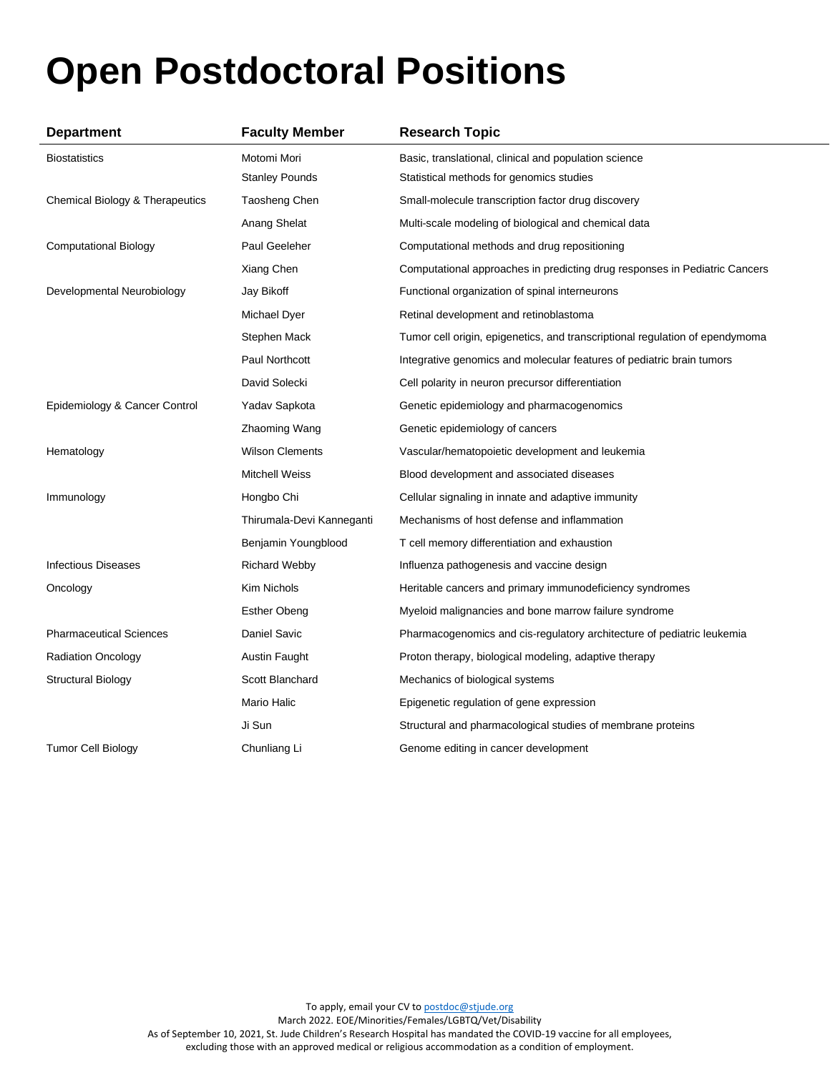# **Open Postdoctoral Positions**

| <b>Department</b>               | <b>Faculty Member</b>     | <b>Research Topic</b>                                                        |
|---------------------------------|---------------------------|------------------------------------------------------------------------------|
| <b>Biostatistics</b>            | Motomi Mori               | Basic, translational, clinical and population science                        |
|                                 | <b>Stanley Pounds</b>     | Statistical methods for genomics studies                                     |
| Chemical Biology & Therapeutics | Taosheng Chen             | Small-molecule transcription factor drug discovery                           |
|                                 | Anang Shelat              | Multi-scale modeling of biological and chemical data                         |
| <b>Computational Biology</b>    | Paul Geeleher             | Computational methods and drug repositioning                                 |
|                                 | Xiang Chen                | Computational approaches in predicting drug responses in Pediatric Cancers   |
| Developmental Neurobiology      | Jay Bikoff                | Functional organization of spinal interneurons                               |
|                                 | Michael Dyer              | Retinal development and retinoblastoma                                       |
|                                 | Stephen Mack              | Tumor cell origin, epigenetics, and transcriptional regulation of ependymoma |
|                                 | Paul Northcott            | Integrative genomics and molecular features of pediatric brain tumors        |
|                                 | David Solecki             | Cell polarity in neuron precursor differentiation                            |
| Epidemiology & Cancer Control   | Yadav Sapkota             | Genetic epidemiology and pharmacogenomics                                    |
|                                 | Zhaoming Wang             | Genetic epidemiology of cancers                                              |
| Hematology                      | <b>Wilson Clements</b>    | Vascular/hematopoietic development and leukemia                              |
|                                 | <b>Mitchell Weiss</b>     | Blood development and associated diseases                                    |
| Immunology                      | Hongbo Chi                | Cellular signaling in innate and adaptive immunity                           |
|                                 | Thirumala-Devi Kanneganti | Mechanisms of host defense and inflammation                                  |
|                                 | Benjamin Youngblood       | T cell memory differentiation and exhaustion                                 |
| <b>Infectious Diseases</b>      | <b>Richard Webby</b>      | Influenza pathogenesis and vaccine design                                    |
| Oncology                        | Kim Nichols               | Heritable cancers and primary immunodeficiency syndromes                     |
|                                 | <b>Esther Obeng</b>       | Myeloid malignancies and bone marrow failure syndrome                        |
| <b>Pharmaceutical Sciences</b>  | Daniel Savic              | Pharmacogenomics and cis-regulatory architecture of pediatric leukemia       |
| <b>Radiation Oncology</b>       | Austin Faught             | Proton therapy, biological modeling, adaptive therapy                        |
| <b>Structural Biology</b>       | Scott Blanchard           | Mechanics of biological systems                                              |
|                                 | Mario Halic               | Epigenetic regulation of gene expression                                     |
|                                 | Ji Sun                    | Structural and pharmacological studies of membrane proteins                  |
| <b>Tumor Cell Biology</b>       | Chunliang Li              | Genome editing in cancer development                                         |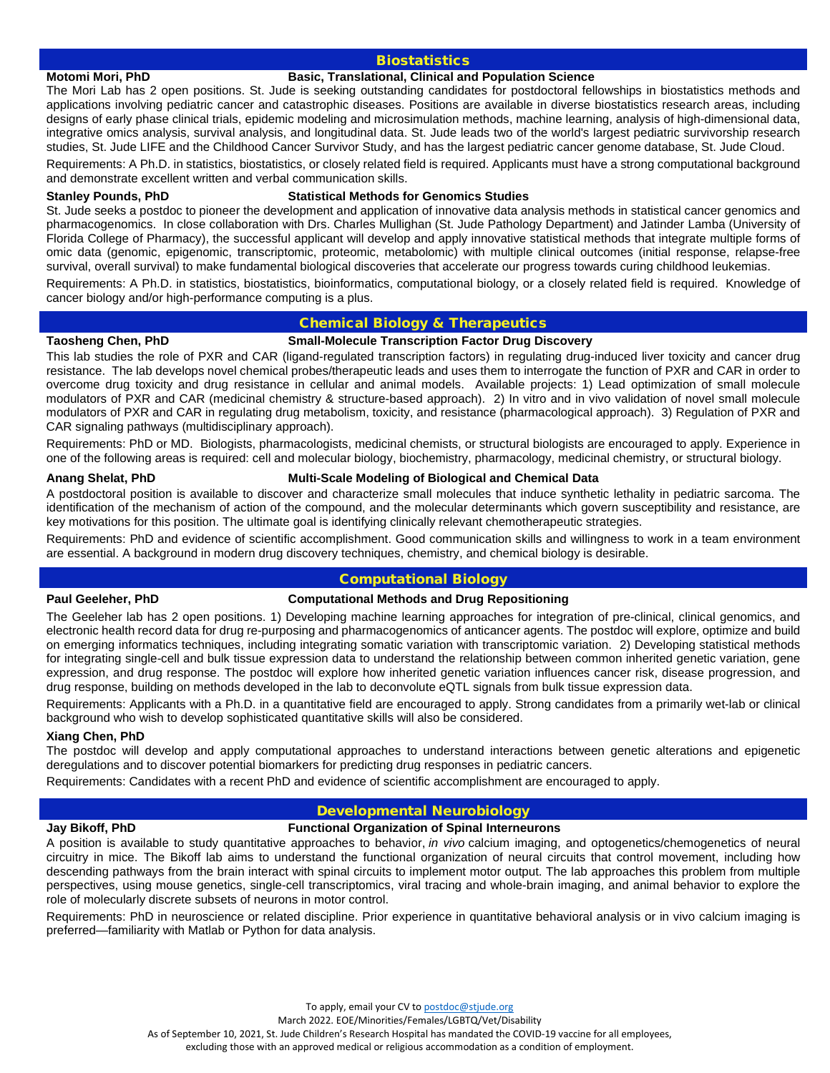# **Biostatistics**

# **Motomi Mori, PhD Basic, Translational, Clinical and Population Science**

The Mori Lab has 2 open positions. St. Jude is seeking outstanding candidates for postdoctoral fellowships in biostatistics methods and applications involving pediatric cancer and catastrophic diseases. Positions are available in diverse biostatistics research areas, including designs of early phase clinical trials, epidemic modeling and microsimulation methods, machine learning, analysis of high-dimensional data, integrative omics analysis, survival analysis, and longitudinal data. St. Jude leads two of the world's largest pediatric survivorship research studies, St. Jude LIFE and the Childhood Cancer Survivor Study, and has the largest pediatric cancer genome database, St. Jude Cloud.

Requirements: A Ph.D. in statistics, biostatistics, or closely related field is required. Applicants must have a strong computational background and demonstrate excellent written and verbal communication skills.

# **Stanley Pounds, PhD Statistical Methods for Genomics Studies**

St. Jude seeks a postdoc to pioneer the development and application of innovative data analysis methods in statistical cancer genomics and pharmacogenomics. In close collaboration with Drs. Charles Mullighan (St. Jude Pathology Department) and Jatinder Lamba (University of Florida College of Pharmacy), the successful applicant will develop and apply innovative statistical methods that integrate multiple forms of omic data (genomic, epigenomic, transcriptomic, proteomic, metabolomic) with multiple clinical outcomes (initial response, relapse-free survival, overall survival) to make fundamental biological discoveries that accelerate our progress towards curing childhood leukemias.

Requirements: A Ph.D. in statistics, biostatistics, bioinformatics, computational biology, or a closely related field is required. Knowledge of cancer biology and/or high-performance computing is a plus.

# Chemical Biology & Therapeutics

### **Taosheng Chen, PhD Small-Molecule Transcription Factor Drug Discovery**

This lab studies the role of PXR and CAR (ligand-regulated transcription factors) in regulating drug-induced liver toxicity and cancer drug resistance. The lab develops novel chemical probes/therapeutic leads and uses them to interrogate the function of PXR and CAR in order to overcome drug toxicity and drug resistance in cellular and animal models. Available projects: 1) Lead optimization of small molecule modulators of PXR and CAR (medicinal chemistry & structure-based approach). 2) In vitro and in vivo validation of novel small molecule modulators of PXR and CAR in regulating drug metabolism, toxicity, and resistance (pharmacological approach). 3) Regulation of PXR and CAR signaling pathways (multidisciplinary approach).

Requirements: PhD or MD. Biologists, pharmacologists, medicinal chemists, or structural biologists are encouraged to apply. Experience in one of the following areas is required: cell and molecular biology, biochemistry, pharmacology, medicinal chemistry, or structural biology.

# **Anang Shelat, PhD Multi-Scale Modeling of Biological and Chemical Data**

A postdoctoral position is available to discover and characterize small molecules that induce synthetic lethality in pediatric sarcoma. The identification of the mechanism of action of the compound, and the molecular determinants which govern susceptibility and resistance, are key motivations for this position. The ultimate goal is identifying clinically relevant chemotherapeutic strategies.

Requirements: PhD and evidence of scientific accomplishment. Good communication skills and willingness to work in a team environment are essential. A background in modern drug discovery techniques, chemistry, and chemical biology is desirable.

# Computational Biology

# **Paul Geeleher, PhD Computational Methods and Drug Repositioning**

The Geeleher lab has 2 open positions. 1) Developing machine learning approaches for integration of pre-clinical, clinical genomics, and electronic health record data for drug re-purposing and pharmacogenomics of anticancer agents. The postdoc will explore, optimize and build on emerging informatics techniques, including integrating somatic variation with transcriptomic variation. 2) Developing statistical methods for integrating single-cell and bulk tissue expression data to understand the relationship between common inherited genetic variation, gene expression, and drug response. The postdoc will explore how inherited genetic variation influences cancer risk, disease progression, and drug response, building on methods developed in the lab to deconvolute eQTL signals from bulk tissue expression data.

Requirements: Applicants with a Ph.D. in a quantitative field are encouraged to apply. Strong candidates from a primarily wet-lab or clinical background who wish to develop sophisticated quantitative skills will also be considered.

### **Xiang Chen, PhD**

The postdoc will develop and apply computational approaches to understand interactions between genetic alterations and epigenetic deregulations and to discover potential biomarkers for predicting drug responses in pediatric cancers.

Requirements: Candidates with a recent PhD and evidence of scientific accomplishment are encouraged to apply.

# Developmental Neurobiology

# **Jay Bikoff, PhD Functional Organization of Spinal Interneurons**

A position is available to study quantitative approaches to behavior, *in vivo* calcium imaging, and optogenetics/chemogenetics of neural circuitry in mice. The Bikoff lab aims to understand the functional organization of neural circuits that control movement, including how descending pathways from the brain interact with spinal circuits to implement motor output. The lab approaches this problem from multiple perspectives, using mouse genetics, single-cell transcriptomics, viral tracing and whole-brain imaging, and animal behavior to explore the role of molecularly discrete subsets of neurons in motor control.

Requirements: PhD in neuroscience or related discipline. Prior experience in quantitative behavioral analysis or in vivo calcium imaging is preferred—familiarity with Matlab or Python for data analysis.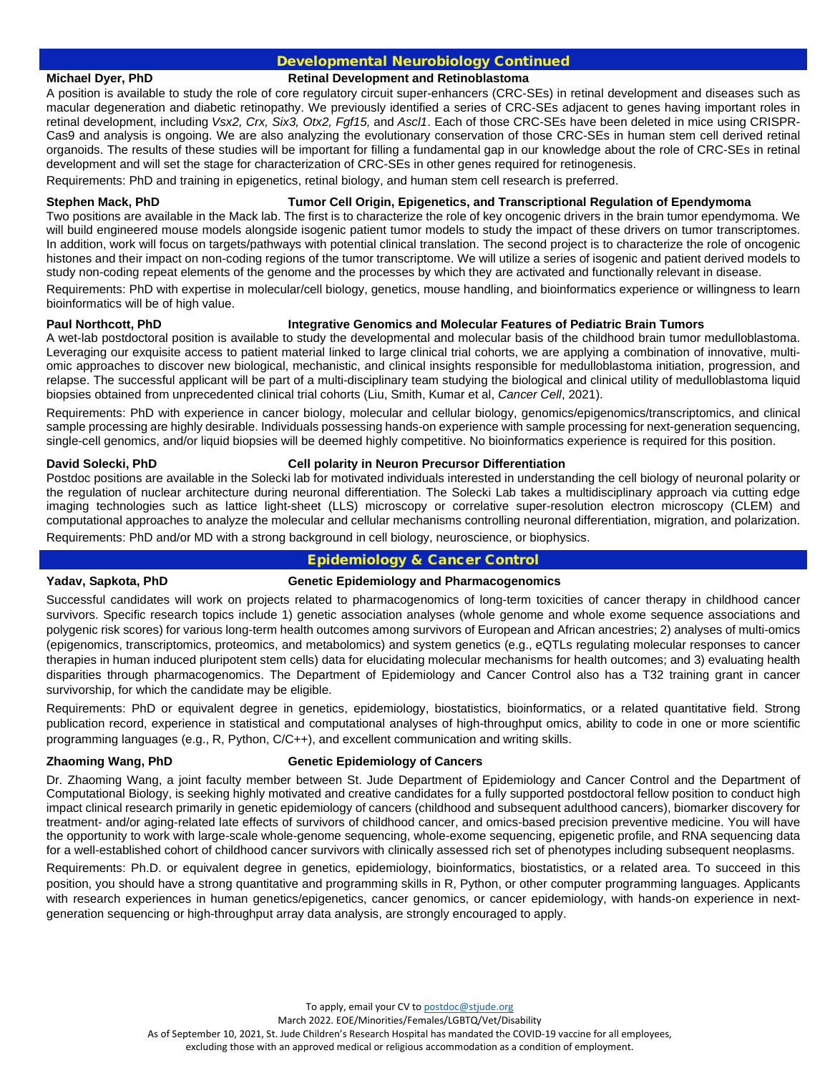# Developmental Neurobiology Continued

### **Michael Dyer, PhD Retinal Development and Retinoblastoma**

A position is available to study the role of core regulatory circuit super-enhancers (CRC-SEs) in retinal development and diseases such as macular degeneration and diabetic retinopathy. We previously identified a series of CRC-SEs adjacent to genes having important roles in retinal development, including *Vsx2, Crx, Six3, Otx2, Fgf15,* and *Ascl1*. Each of those CRC-SEs have been deleted in mice using CRISPR-Cas9 and analysis is ongoing. We are also analyzing the evolutionary conservation of those CRC-SEs in human stem cell derived retinal organoids. The results of these studies will be important for filling a fundamental gap in our knowledge about the role of CRC-SEs in retinal development and will set the stage for characterization of CRC-SEs in other genes required for retinogenesis.

Requirements: PhD and training in epigenetics, retinal biology, and human stem cell research is preferred.

# **Stephen Mack, PhD Tumor Cell Origin, Epigenetics, and Transcriptional Regulation of Ependymoma**

Two positions are available in the Mack lab. The first is to characterize the role of key oncogenic drivers in the brain tumor ependymoma. We will build engineered mouse models alongside isogenic patient tumor models to study the impact of these drivers on tumor transcriptomes. In addition, work will focus on targets/pathways with potential clinical translation. The second project is to characterize the role of oncogenic histones and their impact on non-coding regions of the tumor transcriptome. We will utilize a series of isogenic and patient derived models to study non-coding repeat elements of the genome and the processes by which they are activated and functionally relevant in disease.

Requirements: PhD with expertise in molecular/cell biology, genetics, mouse handling, and bioinformatics experience or willingness to learn bioinformatics will be of high value.

# **Paul Northcott, PhD Integrative Genomics and Molecular Features of Pediatric Brain Tumors**

A wet-lab postdoctoral position is available to study the developmental and molecular basis of the childhood brain tumor medulloblastoma. Leveraging our exquisite access to patient material linked to large clinical trial cohorts, we are applying a combination of innovative, multiomic approaches to discover new biological, mechanistic, and clinical insights responsible for medulloblastoma initiation, progression, and relapse. The successful applicant will be part of a multi-disciplinary team studying the biological and clinical utility of medulloblastoma liquid biopsies obtained from unprecedented clinical trial cohorts (Liu, Smith, Kumar et al, *Cancer Cell*, 2021).

Requirements: PhD with experience in cancer biology, molecular and cellular biology, genomics/epigenomics/transcriptomics, and clinical sample processing are highly desirable. Individuals possessing hands-on experience with sample processing for next-generation sequencing, single-cell genomics, and/or liquid biopsies will be deemed highly competitive. No bioinformatics experience is required for this position.

# **David Solecki, PhD Cell polarity in Neuron Precursor Differentiation**

Postdoc positions are available in the Solecki lab for motivated individuals interested in understanding the cell biology of neuronal polarity or the regulation of nuclear architecture during neuronal differentiation. The Solecki Lab takes a multidisciplinary approach via cutting edge imaging technologies such as lattice light-sheet (LLS) microscopy or correlative super-resolution electron microscopy (CLEM) and computational approaches to analyze the molecular and cellular mechanisms controlling neuronal differentiation, migration, and polarization.

Requirements: PhD and/or MD with a strong background in cell biology, neuroscience, or biophysics.

# Epidemiology & Cancer Control

# **Yadav, Sapkota, PhD Genetic Epidemiology and Pharmacogenomics**

Successful candidates will work on projects related to pharmacogenomics of long-term toxicities of cancer therapy in childhood cancer survivors. Specific research topics include 1) genetic association analyses (whole genome and whole exome sequence associations and polygenic risk scores) for various long-term health outcomes among survivors of European and African ancestries; 2) analyses of multi-omics (epigenomics, transcriptomics, proteomics, and metabolomics) and system genetics (e.g., eQTLs regulating molecular responses to cancer therapies in human induced pluripotent stem cells) data for elucidating molecular mechanisms for health outcomes; and 3) evaluating health disparities through pharmacogenomics. The Department of Epidemiology and Cancer Control also has a T32 training grant in cancer survivorship, for which the candidate may be eligible.

Requirements: PhD or equivalent degree in genetics, epidemiology, biostatistics, bioinformatics, or a related quantitative field. Strong publication record, experience in statistical and computational analyses of high-throughput omics, ability to code in one or more scientific programming languages (e.g., R, Python, C/C++), and excellent communication and writing skills.

# **Zhaoming Wang, PhD Genetic Epidemiology of Cancers**

Dr. Zhaoming Wang, a joint faculty member between St. Jude Department of Epidemiology and Cancer Control and the Department of Computational Biology, is seeking highly motivated and creative candidates for a fully supported postdoctoral fellow position to conduct high impact clinical research primarily in genetic epidemiology of cancers (childhood and subsequent adulthood cancers), biomarker discovery for treatment- and/or aging-related late effects of survivors of childhood cancer, and omics-based precision preventive medicine. You will have the opportunity to work with large-scale whole-genome sequencing, whole-exome sequencing, epigenetic profile, and RNA sequencing data for a well-established cohort of childhood cancer survivors with clinically assessed rich set of phenotypes including subsequent neoplasms.

Requirements: Ph.D. or equivalent degree in genetics, epidemiology, bioinformatics, biostatistics, or a related area. To succeed in this position, you should have a strong quantitative and programming skills in R, Python, or other computer programming languages. Applicants with research experiences in human genetics/epigenetics, cancer genomics, or cancer epidemiology, with hands-on experience in nextgeneration sequencing or high-throughput array data analysis, are strongly encouraged to apply.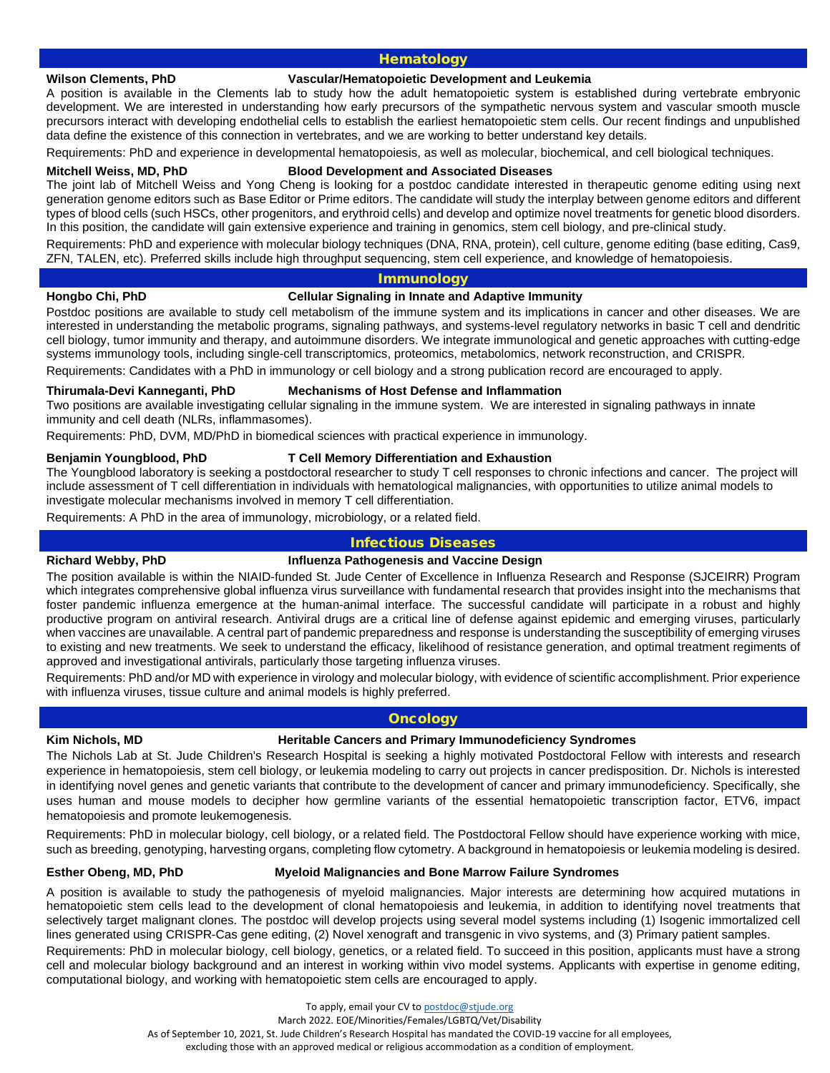# **Hematology**

### **Wilson Clements, PhD Vascular/Hematopoietic Development and Leukemia**

A position is available in the Clements lab to study how the adult hematopoietic system is established during vertebrate embryonic development. We are interested in understanding how early precursors of the sympathetic nervous system and vascular smooth muscle precursors interact with developing endothelial cells to establish the earliest hematopoietic stem cells. Our recent findings and unpublished data define the existence of this connection in vertebrates, and we are working to better understand key details.

Requirements: PhD and experience in developmental hematopoiesis, as well as molecular, biochemical, and cell biological techniques.

### **Mitchell Weiss, MD, PhD Blood Development and Associated Diseases**

The joint lab of Mitchell Weiss and Yong Cheng is looking for a postdoc candidate interested in therapeutic genome editing using next generation genome editors such as Base Editor or Prime editors. The candidate will study the interplay between genome editors and different types of blood cells (such HSCs, other progenitors, and erythroid cells) and develop and optimize novel treatments for genetic blood disorders. In this position, the candidate will gain extensive experience and training in genomics, stem cell biology, and pre-clinical study.

Requirements: PhD and experience with molecular biology techniques (DNA, RNA, protein), cell culture, genome editing (base editing, Cas9, ZFN, TALEN, etc). Preferred skills include high throughput sequencing, stem cell experience, and knowledge of hematopoiesis.

### Immunology

### **Hongbo Chi, PhD Cellular Signaling in Innate and Adaptive Immunity**

Postdoc positions are available to study cell metabolism of the immune system and its implications in cancer and other diseases. We are interested in understanding the metabolic programs, signaling pathways, and systems-level regulatory networks in basic T cell and dendritic cell biology, tumor immunity and therapy, and autoimmune disorders. We integrate immunological and genetic approaches with cutting-edge systems immunology tools, including single-cell transcriptomics, proteomics, metabolomics, network reconstruction, and CRISPR.

Requirements: Candidates with a PhD in immunology or cell biology and a strong publication record are encouraged to apply.

### **Thirumala-Devi Kanneganti, PhD Mechanisms of Host Defense and Inflammation**

Two positions are available investigating cellular signaling in the immune system. We are interested in signaling pathways in innate immunity and cell death (NLRs, inflammasomes).

Requirements: PhD, DVM, MD/PhD in biomedical sciences with practical experience in immunology.

# **Benjamin Youngblood, PhD T Cell Memory Differentiation and Exhaustion**

The Youngblood laboratory is seeking a postdoctoral researcher to study T cell responses to chronic infections and cancer. The project will include assessment of T cell differentiation in individuals with hematological malignancies, with opportunities to utilize animal models to investigate molecular mechanisms involved in memory T cell differentiation.

Requirements: A PhD in the area of immunology, microbiology, or a related field.

# Infectious Diseases

# **Richard Webby, PhD Influenza Pathogenesis and Vaccine Design**

The position available is within the NIAID-funded St. Jude Center of Excellence in Influenza Research and Response (SJCEIRR) Program which integrates comprehensive global influenza virus surveillance with fundamental research that provides insight into the mechanisms that foster pandemic influenza emergence at the human-animal interface. The successful candidate will participate in a robust and highly productive program on antiviral research. Antiviral drugs are a critical line of defense against epidemic and emerging viruses, particularly when vaccines are unavailable. A central part of pandemic preparedness and response is understanding the susceptibility of emerging viruses to existing and new treatments. We seek to understand the efficacy, likelihood of resistance generation, and optimal treatment regiments of approved and investigational antivirals, particularly those targeting influenza viruses.

Requirements: PhD and/or MD with experience in virology and molecular biology, with evidence of scientific accomplishment. Prior experience with influenza viruses, tissue culture and animal models is highly preferred.

# **Oncology**

# **Kim Nichols, MD Heritable Cancers and Primary Immunodeficiency Syndromes**

The Nichols Lab at St. Jude Children's Research Hospital is seeking a highly motivated Postdoctoral Fellow with interests and research experience in hematopoiesis, stem cell biology, or leukemia modeling to carry out projects in cancer predisposition. Dr. Nichols is interested in identifying novel genes and genetic variants that contribute to the development of cancer and primary immunodeficiency. Specifically, she uses human and mouse models to decipher how germline variants of the essential hematopoietic transcription factor, ETV6, impact hematopoiesis and promote leukemogenesis.

Requirements: PhD in molecular biology, cell biology, or a related field. The Postdoctoral Fellow should have experience working with mice, such as breeding, genotyping, harvesting organs, completing flow cytometry. A background in hematopoiesis or leukemia modeling is desired.

# **Esther Obeng, MD, PhD Myeloid Malignancies and Bone Marrow Failure Syndromes**

A position is available to study the pathogenesis of myeloid malignancies. Major interests are determining how acquired mutations in hematopoietic stem cells lead to the development of clonal hematopoiesis and leukemia, in addition to identifying novel treatments that selectively target malignant clones. The postdoc will develop projects using several model systems including (1) Isogenic immortalized cell lines generated using CRISPR-Cas gene editing, (2) Novel xenograft and transgenic in vivo systems, and (3) Primary patient samples.

Requirements: PhD in molecular biology, cell biology, genetics, or a related field. To succeed in this position, applicants must have a strong cell and molecular biology background and an interest in working within vivo model systems. Applicants with expertise in genome editing, computational biology, and working with hematopoietic stem cells are encouraged to apply.

To apply, email your CV t[o postdoc@stjude.org](mailto:postdoc@stjude.org)

March 2022. EOE/Minorities/Females/LGBTQ/Vet/Disability

As of September 10, 2021, St. Jude Children's Research Hospital has mandated the COVID-19 vaccine for all employees,

excluding those with an approved medical or religious accommodation as a condition of employment.